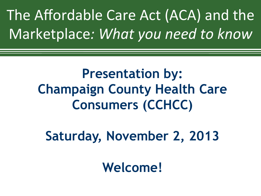The Affordable Care Act (ACA) and the Marketplace: What you need to know

> **Presentation by: Champaign County Health Care Consumers (CCHCC)**

**Saturday, November 2, 2013** 

**Welcome!**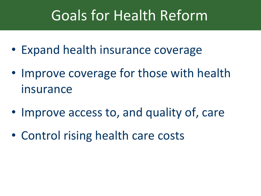# Goals for Health Reform

- Expand health insurance coverage
- Improve coverage for those with health insurance
- Improve access to, and quality of, care
- Control rising health care costs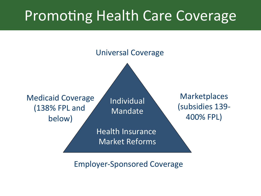# Promoting Health Care Coverage



Employer-Sponsored Coverage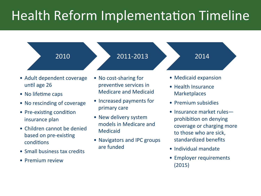## Health Reform Implementation Timeline

#### 2010

#### 2011-2013

2014 

- Adult dependent coverage until age 26
- No lifetime caps
- No rescinding of coverage
- Pre-existing condition insurance plan
- Children cannot be denied based on pre-existing conditions
- Small business tax credits
- Premium review
- No cost-sharing for preventive services in Medicare and Medicaid
- Increased payments for primary care
- New delivery system models in Medicare and Medicaid
- Navigators and IPC groups are funded
- Medicaid expansion
- Health Insurance **Marketplaces**
- Premium subsidies
- Insurance market rulesprohibition on denying coverage or charging more to those who are sick, standardized benefits
- Individual mandate
- Employer requirements (2015)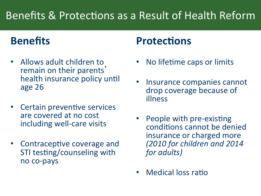## Benefits & Protections as a Result of Health Reform

### **Benefits**

- Allows adult children to remain on their parents' health insurance policy until age 26
- Certain preventive services are covered at no cost including well-care visits
- **Contraceptive coverage and** STI testing/counseling with no co-pays

### **Protections**

- No lifetime caps or limits
- Insurance companies cannot drop coverage because of illness
- People with pre-existing conditions cannot be denied insurance or charged more *(2010 for children and 2014 for adults*)
- Medical loss ratio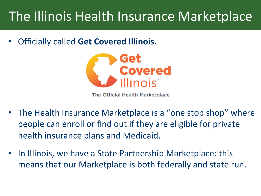## The Illinois Health Insurance Marketplace

**Officially called Get Covered Illinois.** 



The Official Health Marketplace

- The Health Insurance Marketplace is a "one stop shop" where people can enroll or find out if they are eligible for private health insurance plans and Medicaid.
- In Illinois, we have a State Partnership Marketplace: this means that our Marketplace is both federally and state run.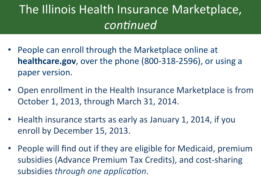## The Illinois Health Insurance Marketplace, *con6nued*

- People can enroll through the Marketplace online at healthcare.gov, over the phone (800-318-2596), or using a paper version.
- Open enrollment in the Health Insurance Marketplace is from October 1, 2013, through March 31, 2014.
- Health insurance starts as early as January 1, 2014, if you enroll by December 15, 2013.
- People will find out if they are eligible for Medicaid, premium subsidies (Advance Premium Tax Credits), and cost-sharing subsidies *through one application*.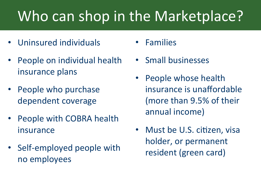# Who can shop in the Marketplace?

- Uninsured individuals
- People on individual health insurance plans
- People who purchase dependent coverage
- People with COBRA health insurance
- Self-employed people with no employees
- Families
- Small businesses
- People whose health insurance is unaffordable (more than 9.5% of their annual income)
- Must be U.S. citizen, visa holder, or permanent resident (green card)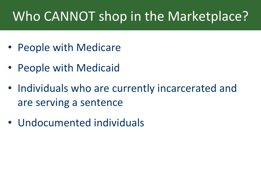## Who CANNOT shop in the Marketplace?

- People with Medicare
- People with Medicaid
- Individuals who are currently incarcerated and are serving a sentence
- Undocumented individuals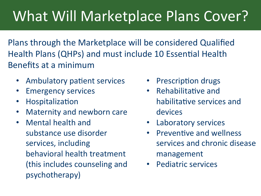# What Will Marketplace Plans Cover?

Plans through the Marketplace will be considered Qualified Health Plans (QHPs) and must include 10 Essential Health Benefits at a minimum

- Ambulatory patient services
- **Emergency services**
- Hospitalization
- Maternity and newborn care
- Mental health and substance use disorder services, including behavioral health treatment (this includes counseling and psychotherapy)
- Prescription drugs
- Rehabilitative and habilitative services and devices
- Laboratory services
- Preventive and wellness services and chronic disease management
- Pediatric services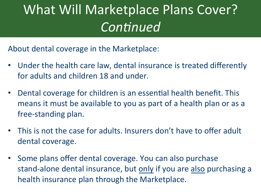# What Will Marketplace Plans Cover? *Continued*

About dental coverage in the Marketplace:

- Under the health care law, dental insurance is treated differently for adults and children 18 and under.
- Dental coverage for children is an essential health benefit. This means it must be available to you as part of a health plan or as a free-standing plan.
- This is not the case for adults. Insurers don't have to offer adult dental coverage.
- Some plans offer dental coverage. You can also purchase stand-alone dental insurance, but only if you are also purchasing a health insurance plan through the Marketplace.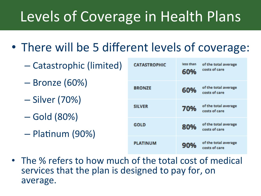## Explanat Coverage in Hoolth D Levels of Coverage in Health Plans

- There will be 5 different levels of coverage:
	- Catastrophic (limited)
	- $-$  Bronze (60%)
	- Silver (70%)
	- Gold (80%)
	- Platinum (90%)

| <b>CATASTROPHIC</b> | less than<br>60% | of the total average<br>costs of care |
|---------------------|------------------|---------------------------------------|
| <b>BRONZE</b>       | 60%              | of the total average<br>costs of care |
| <b>SILVER</b>       | 70%              | of the total average<br>costs of care |
| <b>GOLD</b>         | 80%              | of the total average<br>costs of care |
| <b>PLATINUM</b>     | 90%              | of the total average<br>costs of care |

• The % refers to how much of the total cost of medical services that the plan is designed to pay for, on average.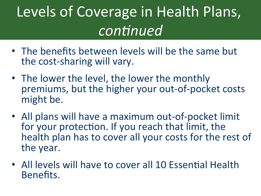### Levels of Coverage in Health Plans,  $\overline{\phantom{a}}$ *con6nued*

- The benefits between levels will be the same but the cost-sharing will vary.
- The lower the level, the lower the monthly premiums, but the higher your out-of-pocket costs might be.
- All plans will have a maximum out-of-pocket limit for your protection. If you reach that limit, the health plan has to cover all your costs for the rest of the year.
- All levels will have to cover all 10 Essential Health Benefits.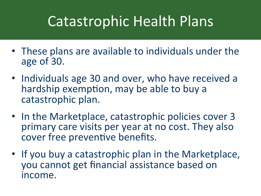## Expanding Health Insurance Coverage— Catastrophic Health Plans

- These plans are available to individuals under the age of 30.
- Individuals age 30 and over, who have received a hardship exemption, may be able to buy a catastrophic plan.
- In the Marketplace, catastrophic policies cover 3 primary care visits per year at no cost. They also cover free preventive benefits.
- If you buy a catastrophic plan in the Marketplace, you cannot get financial assistance based on income.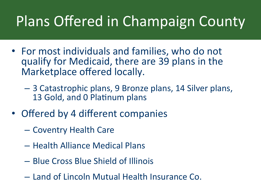## $\mathbf{E} = \mathbf{E} \cdot \mathbf{E} \cdot \mathbf{E} \cdot \mathbf{E} \cdot \mathbf{E} \cdot \mathbf{E} \cdot \mathbf{E} \cdot \mathbf{E} \cdot \mathbf{E} \cdot \mathbf{E} \cdot \mathbf{E} \cdot \mathbf{E} \cdot \mathbf{E} \cdot \mathbf{E} \cdot \mathbf{E} \cdot \mathbf{E} \cdot \mathbf{E} \cdot \mathbf{E} \cdot \mathbf{E} \cdot \mathbf{E} \cdot \mathbf{E} \cdot \mathbf{E} \cdot \mathbf{E} \cdot \mathbf{E} \cdot \mathbf{E} \cdot \mathbf{E} \cdot \mathbf{E$ Plans Offered in Champaign County

- For most individuals and families, who do not qualify for Medicaid, there are 39 plans in the Marketplace offered locally.
	- 3 Catastrophic plans, 9 Bronze plans, 14 Silver plans, 13 Gold, and 0 Platinum plans
- Offered by 4 different companies
	- Coventry Health Care
	- Health Alliance Medical Plans
	- Blue Cross Blue Shield of Illinois
	- Land of Lincoln Mutual Health Insurance Co.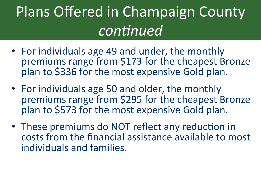### Plans Offered in Champaign County  $i$ *con6nued*

- For individuals age 49 and under, the monthly premiums range from \$173 for the cheapest Bronze plan to \$336 for the most expensive Gold plan.
- For individuals age 50 and older, the monthly premiums range from \$295 for the cheapest Bronze plan to \$573 for the most expensive Gold plan.
- These premiums do NOT reflect any reduction in costs from the financial assistance available to most individuals and families.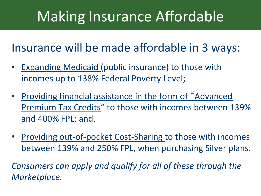# Making Insurance Affordable

Insurance will be made affordable in 3 ways:

- Expanding Medicaid (public insurance) to those with incomes up to 138% Federal Poverty Level;
- Providing financial assistance in the form of "Advanced Premium Tax Credits" to those with incomes between 139% and 400% FPL; and,
- Providing out-of-pocket Cost-Sharing to those with incomes between 139% and 250% FPL, when purchasing Silver plans.

Consumers can apply and qualify for all of these through the *Marketplace.*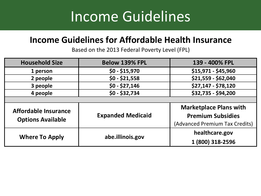## Expanding Health Insurance Coverage— Income Guidelines

### **Income Guidelines for Affordable Health Insurance**

Based on the 2013 Federal Poverty Level (FPL)

| <b>Household Size</b>                                   | <b>Below 139% FPL</b>    | 139 - 400% FPL                 |  |
|---------------------------------------------------------|--------------------------|--------------------------------|--|
| 1 person                                                | $$0 - $15,970$           | \$15,971 - \$45,960            |  |
| 2 people                                                | $$0 - $21,558$           | \$21,559 - \$62,040            |  |
| 3 people                                                | $$0 - $27,146$           | \$27,147 - \$78,120            |  |
| 4 people                                                | $$0 - $32,734$           | \$32,735 - \$94,200            |  |
|                                                         |                          |                                |  |
| <b>Affordable Insurance</b><br><b>Options Available</b> |                          | <b>Marketplace Plans with</b>  |  |
|                                                         | <b>Expanded Medicaid</b> | <b>Premium Subsidies</b>       |  |
|                                                         |                          | (Advanced Premium Tax Credits) |  |
| <b>Where To Apply</b>                                   |                          | healthcare.gov                 |  |
|                                                         | abe.illinois.gov         | 1 (800) 318-2596               |  |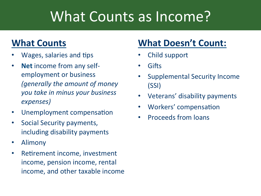# What Counts as Income?

### **What Counts**

- Wages, salaries and tips
- Net income from any selfemployment or business *(generally the amount of money you take in minus your business expenses)*
- Unemployment compensation
- Social Security payments, including disability payments
- Alimony
- Retirement income, investment income, pension income, rental income, and other taxable income

### **What Doesn't Count:**

- Child support
- **Gifts**
- Supplemental Security Income (SSI)
- Veterans' disability payments
- Workers' compensation
- Proceeds from loans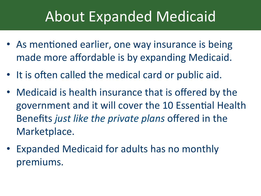# **About Expanded Medicaid**

- As mentioned earlier, one way insurance is being made more affordable is by expanding Medicaid.
- It is often called the medical card or public aid.
- Medicaid is health insurance that is offered by the government and it will cover the 10 Essential Health Benefits just like the private plans offered in the Marketplace.
- Expanded Medicaid for adults has no monthly premiums.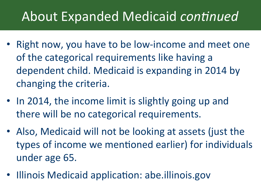## About Expanded Medicaid *continued*

- Right now, you have to be low-income and meet one of the categorical requirements like having a dependent child. Medicaid is expanding in 2014 by changing the criteria.
- In 2014, the income limit is slightly going up and there will be no categorical requirements.
- Also, Medicaid will not be looking at assets (just the types of income we mentioned earlier) for individuals under age 65.
- Illinois Medicaid application: abe.illinois.gov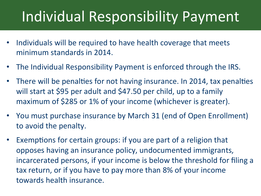# Individual Responsibility Payment

- Individuals will be required to have health coverage that meets minimum standards in 2014.
- The Individual Responsibility Payment is enforced through the IRS.
- There will be penalties for not having insurance. In 2014, tax penalties will start at \$95 per adult and \$47.50 per child, up to a family maximum of \$285 or 1% of your income (whichever is greater).
- You must purchase insurance by March 31 (end of Open Enrollment) to avoid the penalty.
- Exemptions for certain groups: if you are part of a religion that opposes having an insurance policy, undocumented immigrants, incarcerated persons, if your income is below the threshold for filing a tax return, or if you have to pay more than 8% of your income towards health insurance.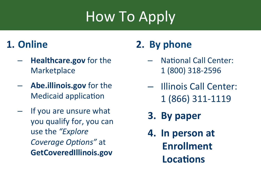# How To Apply

### **1. Online**

- **Healthcare.gov** for the **Marketplace**
- Abe.illinois.gov for the **Medicaid application**
- If you are unsure what you qualify for, you can use the "*Explore Coverage Options"* at **GetCoveredIllinois.gov**

## **2.** By phone

- National Call Center: 1 (800) 318-2596
- Illinois Call Center: 1 (866) 311-1119
- **3. By paper**
- **4.** In person at **Enrollment Locations**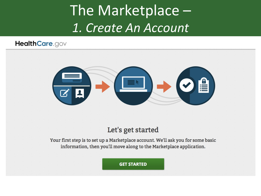# The Marketplace -*1. Create An Account*

#### HealthCare.gov



#### Let's get started

Your first step is to set up a Marketplace account. We'll ask you for some basic information, then you'll move along to the Marketplace application.

**GET STARTED**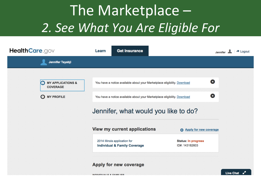# The Marketplace -*2. See What You Are Eligible For*

| HealthCare.gov                                                              | Learn                   | <b>Get Insurance</b>                                                                                                                                 |                                                                        | $\rightarrow$ Logout<br>Jennifer |
|-----------------------------------------------------------------------------|-------------------------|------------------------------------------------------------------------------------------------------------------------------------------------------|------------------------------------------------------------------------|----------------------------------|
| Jennifer Tayabji                                                            |                         |                                                                                                                                                      |                                                                        |                                  |
| <b>MY APPLICATIONS &amp;</b><br>a<br><b>COVERAGE</b><br><b>C</b> MY PROFILE |                         | You have a notice available about your Marketplace eligibility. Download<br>You have a notice available about your Marketplace eligibility. Download | 3<br>0<br>Jennifer, what would you like to do?                         |                                  |
|                                                                             |                         | <b>View my current applications</b><br>2014 Illinois application for<br><b>Individual &amp; Family Coverage</b><br>Apply for new coverage            | Apply for new coverage<br><b>Status: In progress</b><br>ID#: 143182603 |                                  |
|                                                                             | INDIVIDUAL C & CAMILICO |                                                                                                                                                      |                                                                        | <b>Live Chat</b>                 |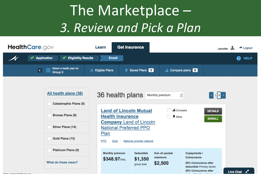# The Marketplace -*3. Review and Pick a Plan*

| HealthCare.gov                                                                                                                                                | <b>Get Insurance</b><br>Learn                                                                                                                                                                                                | $\rightarrow$ Logout<br>Jennifer                                                                                                                                                                                              |
|---------------------------------------------------------------------------------------------------------------------------------------------------------------|------------------------------------------------------------------------------------------------------------------------------------------------------------------------------------------------------------------------------|-------------------------------------------------------------------------------------------------------------------------------------------------------------------------------------------------------------------------------|
| <b>Eligibility Results</b><br><b>◆</b> Application<br>✔                                                                                                       | <b>Enroll</b>                                                                                                                                                                                                                | ❷<br><b>HELP</b>                                                                                                                                                                                                              |
| Select a health plan for<br>這<br>$\overline{\mathbf{K}}$<br>Group 0                                                                                           | Saved Plans 0<br><b>Eligible Plans</b><br>≣                                                                                                                                                                                  | Compare plans 0<br>.h                                                                                                                                                                                                         |
| All health plans (36)<br><b>Catastrophic Plans (0)</b><br><b>Bronze Plans (9)</b><br><b>Silver Plans (14)</b><br>Gold Plans (13)<br><b>Platinum Plans (0)</b> | 36 health plans<br>Monthly premium<br><b>Land of Lincoln Mutual</b><br><b>Health Insurance</b><br><b>Company Land of Lincoln</b><br><b>National Preferred PPO</b><br>Plan<br>National provider network<br><b>PPO</b><br>Gold | $\left \left \left\langle 1\right \right 2\left \left\langle 2\right \right \right\rangle$<br>킈<br><b>Juli</b> Compare<br><b>DETAILS</b><br><b>K</b> Save<br><b>ENROLL</b>                                                    |
| What do these mean?<br>https://www.healthcare.gov                                                                                                             | <b>Monthly premium</b><br><b>Deductible</b><br>\$1,350<br>\$348.97/mo.<br>group total                                                                                                                                        | Out-of-pocket<br><b>Copayments /</b><br><b>Coinsurance</b><br>maximum<br>\$2,500<br>20% Coinsurance after<br>deductible Primary doctor<br>20% Coinsurance after<br><b>Live Chat</b><br><b>Contract Only Contract Property</b> |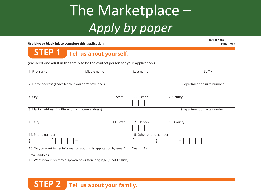# The Marketplace -*Apply by paper*

**Use blue or black ink to complete this application.**

**Initial here: Page 1 of 7**

#### **STEP 1 Tell us about yourself.**

(We need one adult in the family to be the contact person for your application.)

| 1. First name                                        | Middle name                                                                              |           | Last name              |            | Suffix                       |
|------------------------------------------------------|------------------------------------------------------------------------------------------|-----------|------------------------|------------|------------------------------|
| 2. Home address (Leave blank if you don't have one.) |                                                                                          |           |                        |            | 3. Apartment or suite number |
| 4. City                                              |                                                                                          | 5. State  | 6. ZIP code            | 7. County  |                              |
| 8. Mailing address (if different from home address)  |                                                                                          |           |                        |            | 9. Apartment or suite number |
| 10. City                                             |                                                                                          | 11. State | 12. ZIP code           | 13. County |                              |
| 14. Phone number                                     |                                                                                          |           | 15. Other phone number |            |                              |
|                                                      |                                                                                          |           |                        |            |                              |
|                                                      | 16. Do you want to get information about this application by email? $\Box$ Yes $\Box$ No |           |                        |            |                              |
| Email address: _                                     |                                                                                          |           |                        |            |                              |
|                                                      | 17. What is your preferred spoken or written language (if not English)?                  |           |                        |            |                              |

#### **STEP 2** Tell us about your family.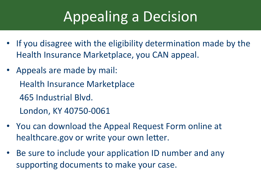# Appealing a Decision

- If you disagree with the eligibility determination made by the Health Insurance Marketplace, you CAN appeal.
- Appeals are made by mail: Health Insurance Marketplace 465 Industrial Blvd. London, KY 40750-0061
- You can download the Appeal Request Form online at healthcare.gov or write your own letter.
- Be sure to include your application ID number and any supporting documents to make your case.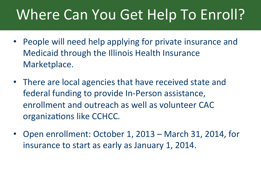# Where Can You Get Help To Enroll?

- People will need help applying for private insurance and Medicaid through the Illinois Health Insurance Marketplace.
- There are local agencies that have received state and federal funding to provide In-Person assistance, enrollment and outreach as well as volunteer CAC organizations like CCHCC.
- Open enrollment: October 1, 2013 March 31, 2014, for insurance to start as early as January 1, 2014.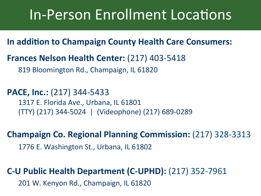## In-Person Enrollment Locations

#### **In addition to Champaign County Health Care Consumers:**

#### **Frances Nelson Health Center:** (217) 403-5418

819 Bloomington Rd., Champaign, IL 61820

**PACE, Inc.:** (217) 344-5433 1317 E. Florida Ave., Urbana, IL 61801 (TTY) (217) 344-5024 | (Videophone) (217) 689-0289

### **Champaign Co. Regional Planning Commission:** (217) 328-3313 1776 E. Washington St., Urbana, IL 61802

### **C-U Public Health Department (C-UPHD):** (217) 352-7961 201 W. Kenyon Rd., Champaign, IL 61820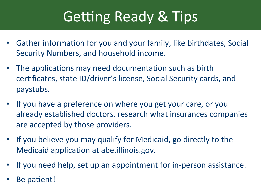# Getting Ready & Tips

- Gather information for you and your family, like birthdates, Social Security Numbers, and household income.
- The applications may need documentation such as birth certificates, state ID/driver's license, Social Security cards, and paystubs.
- If you have a preference on where you get your care, or you already established doctors, research what insurances companies are accepted by those providers.
- If you believe you may qualify for Medicaid, go directly to the Medicaid application at abe.illinois.gov.
- If you need help, set up an appointment for in-person assistance.
- Be patient!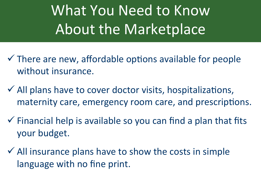What You Need to Know About the Marketplace

- $\checkmark$  There are new, affordable options available for people without insurance.
- $\checkmark$  All plans have to cover doctor visits, hospitalizations, maternity care, emergency room care, and prescriptions.
- $\checkmark$  Financial help is available so you can find a plan that fits your budget.
- $\checkmark$  All insurance plans have to show the costs in simple language with no fine print.